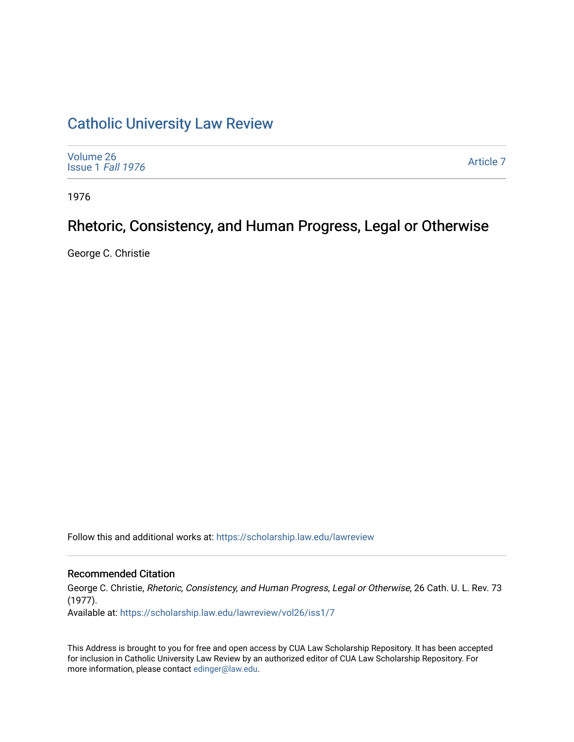## [Catholic University Law Review](https://scholarship.law.edu/lawreview)

| Volume 26<br>Issue 1 Fall 1976 | Article 7 |
|--------------------------------|-----------|
|--------------------------------|-----------|

1976

# Rhetoric, Consistency, and Human Progress, Legal or Otherwise

George C. Christie

Follow this and additional works at: [https://scholarship.law.edu/lawreview](https://scholarship.law.edu/lawreview?utm_source=scholarship.law.edu%2Flawreview%2Fvol26%2Fiss1%2F7&utm_medium=PDF&utm_campaign=PDFCoverPages)

### Recommended Citation

George C. Christie, Rhetoric, Consistency, and Human Progress, Legal or Otherwise, 26 Cath. U. L. Rev. 73 (1977).

Available at: [https://scholarship.law.edu/lawreview/vol26/iss1/7](https://scholarship.law.edu/lawreview/vol26/iss1/7?utm_source=scholarship.law.edu%2Flawreview%2Fvol26%2Fiss1%2F7&utm_medium=PDF&utm_campaign=PDFCoverPages)

This Address is brought to you for free and open access by CUA Law Scholarship Repository. It has been accepted for inclusion in Catholic University Law Review by an authorized editor of CUA Law Scholarship Repository. For more information, please contact [edinger@law.edu.](mailto:edinger@law.edu)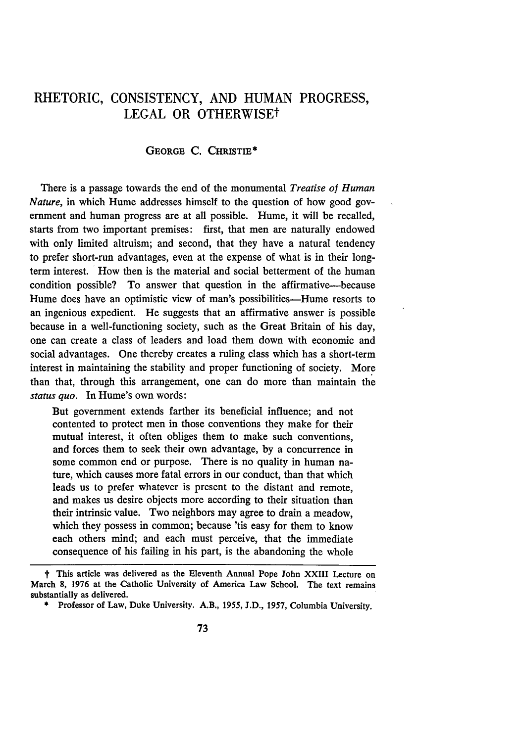### RHETORIC, **CONSISTENCY, AND HUMAN** PROGRESS, LEGAL OR OTHERWISEt

#### GEORGE **C. CHRISTIE\***

There is a passage towards the end of the monumental *Treatise of Human Nature,* in which Hume addresses himself to the question of how good government and human progress are at all possible. Hume, it will be recalled, starts from two important premises: first, that men are naturally endowed with only limited altruism; and second, that they have a natural tendency to prefer short-run advantages, even at the expense of what is in their longterm interest. How then is the material and social betterment of the human condition possible? To answer that question in the affirmative-because Hume does have an optimistic view of man's possibilities—Hume resorts to an ingenious expedient. He suggests that an affirmative answer is possible because in a well-functioning society, such as the Great Britain of his day, one can create a class of leaders and load them down with economic and social advantages. One thereby creates a ruling class which has a short-term interest in maintaining the stability and proper functioning of society. More than that, through this arrangement, one can do more than maintain the *status quo.* In Hume's own words:

But government extends farther its beneficial influence; and not contented to protect men in those conventions they make for their mutual interest, it often obliges them to make such conventions, and forces them to seek their own advantage, by a concurrence in some common end or purpose. There is no quality in human nature, which causes more fatal errors in our conduct, than that which leads us to prefer whatever is present to the distant and remote, and makes us desire objects more according to their situation than their intrinsic value. Two neighbors may agree to drain a meadow, which they possess in common; because 'tis easy for them to know each others mind; and each must perceive, that the immediate consequence of his failing in his part, is the abandoning the whole

t This article was delivered as the Eleventh Annual Pope John XXIII Lecture on March 8, 1976 at the Catholic University of America Law School. The text remains substantially as delivered.

<sup>\*</sup> Professor of Law, Duke University. A.B., 1955, J.D., 1957, Columbia University.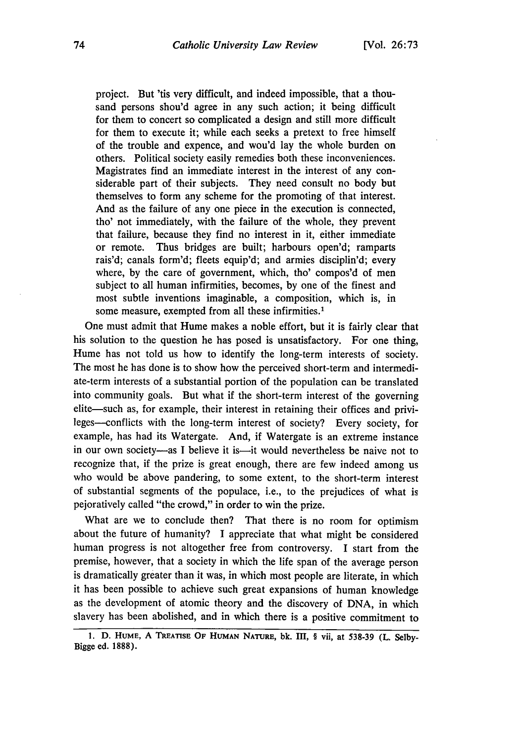project. But 'tis very difficult, and indeed impossible, that a thousand persons shou'd agree in any such action; it being difficult for them to concert so complicated a design and still more difficult for them to execute it; while each seeks a pretext to free himself of the trouble and expence, and wou'd lay the whole burden on others. Political society easily remedies both these inconveniences. Magistrates find an immediate interest in the interest of any considerable part of their subjects. They need consult no body but themselves to form any scheme for the promoting of that interest. And as the failure of any one piece in the execution is connected, tho' not immediately, with the failure of the whole, they prevent that failure, because they find no interest in it, either immediate or remote. Thus bridges are built; harbours open'd; ramparts rais'd; canals form'd; fleets equip'd; and armies disciplin'd; every where, by the care of government, which, tho' compos'd of men subject to all human infirmities, becomes, by one of the finest and most subtle inventions imaginable, a composition, which is, in some measure, exempted from all these infirmities.<sup>1</sup>

One must admit that Hume makes a noble effort, but it is fairly clear that his solution to the question he has posed is unsatisfactory. For one thing, Hume has not told us how to identify the long-term interests of society. The most he has done is to show how the perceived short-term and intermediate-term interests of a substantial portion of the population can be translated into community goals. But what if the short-term interest of the governing elite—such as, for example, their interest in retaining their offices and privileges-conflicts with the long-term interest of society? Every society, for example, has had its Watergate. And, if Watergate is an extreme instance in our own society-as I believe it is-it would nevertheless be naive not to recognize that, if the prize is great enough, there are few indeed among us who would be above pandering, to some extent, to the short-term interest of substantial segments of the populace, i.e., to the prejudices of what is pejoratively called "the crowd," in order to win the prize.

What are we to conclude then? That there is no room for optimism about the future of humanity? I appreciate that what might be considered human progress is not altogether free from controversy. I start from the premise, however, that a society in which the life span of the average person is dramatically greater than it was, in which most people are literate, in which it has been possible to achieve such great expansions of human knowledge as the development of atomic theory and the discovery of DNA, in which slavery has been abolished, and in which there is a positive commitment to

<sup>1.</sup> D. HUME, A TREATISE OF HUMAN NATURE, bk. III, § vii, at 538-39 (L. Selby-**Bigge ed. 1888).**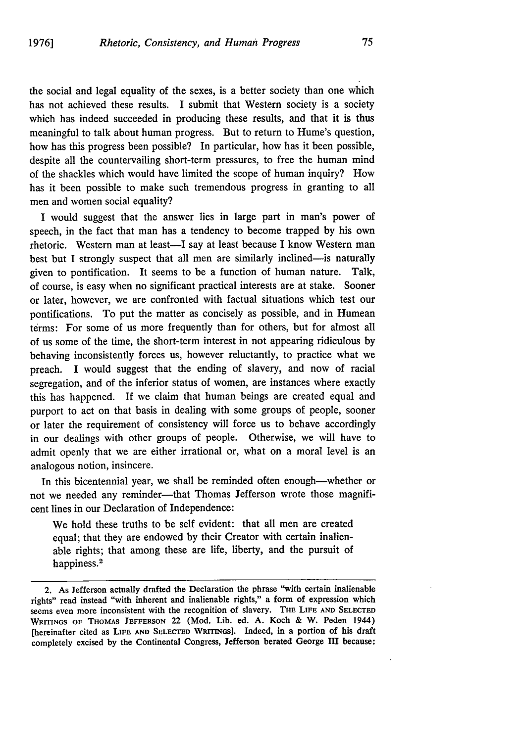the social and legal equality of the sexes, is a better society than one which has not achieved these results. I submit that Western society is a society which has indeed succeeded in producing these results, and that it is thus meaningful to talk about human progress. But to return to Hume's question, how has this progress been possible? In particular, how has it been possible, despite all the countervailing short-term pressures, to free the human mind of the shackles which would have limited the scope of human inquiry? How has it been possible to make such tremendous progress in granting to all men and women social equality?

I would suggest that the answer lies in large part in man's power of speech, in the fact that man has a tendency to become trapped by his own rhetoric. Western man at least-I say at least because I know Western man best but I strongly suspect that all men are similarly inclined—is naturally given to pontification. It seems to be a function of human nature. Talk, of course, is easy when no significant practical interests are at stake. Sooner or later, however, we are confronted with factual situations which test our pontifications. To put the matter as concisely as possible, and in Humean terms: For some of us more frequently than for others, but for almost all of us some of the time, the short-term interest in not appearing ridiculous by behaving inconsistently forces us, however reluctantly, to practice what we preach. I would suggest that the ending of slavery, and now of racial segregation, and of the inferior status of women, are instances where exactly this has happened. If we claim that human beings are created equal and purport to act on that basis in dealing with some groups of people, sooner or later the requirement of consistency will force us to behave accordingly in our dealings with other groups of people. Otherwise, we will have to admit openly that we are either irrational or, what on a moral level is an analogous notion, insincere.

In this bicentennial year, we shall be reminded often enough-whether or not we needed any reminder--that Thomas Jefferson wrote those magnificent lines in our Declaration of Independence:

We hold these truths to be self evident: that all men are created equal; that they are endowed by their Creator with certain inalienable rights; that among these are life, liberty, and the pursuit of happiness. 2

<sup>2.</sup> As Jefferson actually drafted the Declaration the phrase "with certain inalienable rights" read instead "with inherent and inalienable rights," a form of expression which seems even more inconsistent with the recognition of slavery. **THE** LIFE **AND SELECTED** WRITINGS **OF** THOMAS JEFFERSON 22 (Mod. Lib. ed. A. Koch & W. Peden 1944) [hereinafter cited as LIFE **AND SELECTED** WRITINGs]. Indeed, in a portion of his draft completely excised by the Continental Congress, Jefferson berated George III because: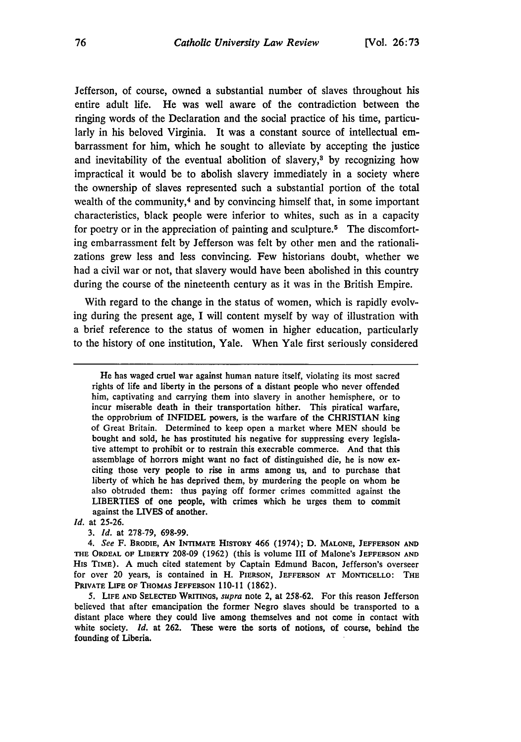Jefferson, of course, owned a substantial number of slaves throughout his entire adult life. He was well aware of the contradiction between the ringing words of the Declaration and the social practice of his time, particularly in his beloved Virginia. It was a constant source of intellectual embarrassment for him, which he sought to alleviate **by** accepting the justice and inevitability of the eventual abolition of slavery,3 **by** recognizing how impractical it would be to abolish slavery immediately in a society where the ownership of slaves represented such a substantial portion of the total wealth of the community,<sup>4</sup> and by convincing himself that, in some important characteristics, black people were inferior to whites, such as in a capacity for poetry **or** in the appreciation of painting and sculpture.5 The discomforting embarrassment felt **by** Jefferson was felt **by** other men and the rationalizations grew less and less convincing. Few historians doubt, whether we had a civil war or not, that slavery would have been abolished in this country during the course of the nineteenth century as it was in the British Empire.

With regard to the change in the status of women, which is rapidly evolving during the present age, I will content myself **by** way of illustration with a brief reference to the status of women in higher education, particularly to the history of one institution, Yale. When Yale first seriously considered

*id.* at 25-26.

**3.** *Id.* at **278-79,** 698-99.

*4. See* F. **BRODIE, AN INTIMATE HISTORY** 466 (1974); **D. MALONE, JEFFERSON AND THE** ORDEAL **OF LIBERTY 208-09 (1962)** (this is volume III of Malone's **JEFFERSON AND** His TIME). **A** much cited statement **by** Captain Edmund Bacon, Jefferson's overseer for over 20 years, is contained in H. **PIERSON, JEFFERSON** AT MONTICELLO: THE PRIVATE LIFE OF THOMAS JEFFERSON 110-11 (1862).

**5. LIFE AND SELECTED WRITINGS,** *supra* note 2, at **258-62.** For this reason Jefferson believed that after emancipation the former Negro slaves should be transported to a distant place where they could live among themselves and not come in contact with white society. *Id.* at **262.** These were the sorts of notions, of course, behind the founding of Liberia.

He has waged cruel war against human nature itself, violating its most sacred rights of life and liberty in the persons of a distant people who never offended him, captivating and carrying them into slavery in another hemisphere, or to incur miserable death in their transportation hither. This piratical warfare, the opprobrium of INFIDEL powers, is the warfare of the CHRISTIAN king of Great Britain. Determined to keep open a market where MEN should be bought and sold, he has prostituted his negative for suppressing every legislative attempt to prohibit or to restrain this execrable commerce. And that this assemblage of horrors might want no fact of distinguished die, he is now exciting those very people to rise in arms among us, and to purchase that liberty of which he has deprived them, **by** murdering the people on whom he also obtruded them: thus paying off former crimes committed against the LIBERTIES of one people, with crimes which he urges them to commit against the LIVES of another.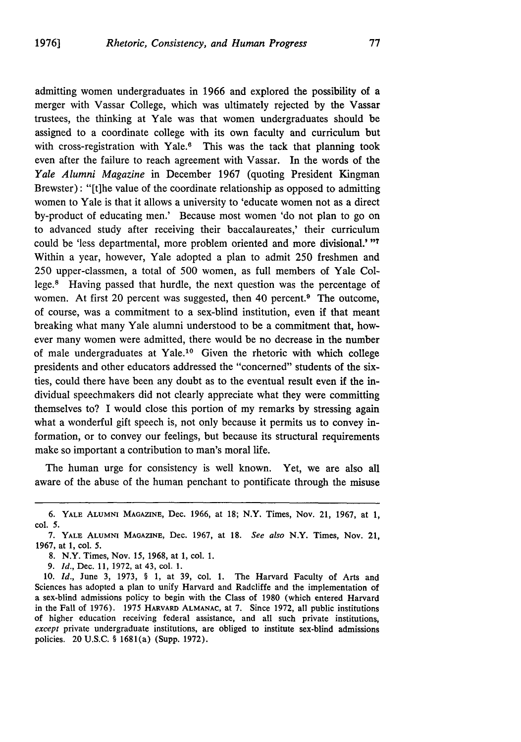admitting women undergraduates in 1966 and explored the possibility of a merger with Vassar College, which was ultimately rejected by the Vassar trustees, the thinking at Yale was that women undergraduates should be assigned to a coordinate college with its own faculty and curriculum but with cross-registration with Yale.<sup>6</sup> This was the tack that planning took even after the failure to reach agreement with Vassar. In the words of the *Yale Alumni Magazine* in December 1967 (quoting President Kingman Brewster): "[t]he value of the coordinate relationship as opposed to admitting women to Yale is that it allows a university to 'educate women not as a direct by-product of educating men.' Because most women 'do not plan to go on to advanced study after receiving their baccalaureates,' their curriculum could be 'less departmental, more problem oriented and more divisional.' "7 Within a year, however, Yale adopted a plan to admit 250 freshmen and 250 upper-classmen, a total of 500 women, as full members of Yale College.<sup>8</sup> Having passed that hurdle, the next question was the percentage of women. At first 20 percent was suggested, then 40 percent.<sup>9</sup> The outcome, of course, was a commitment to a sex-blind institution, even if that meant breaking what many Yale alumni understood to be a commitment that, however many women were admitted, there would be no decrease in the number of male undergraduates at Yale.<sup>10</sup> Given the rhetoric with which college presidents and other educators addressed the "concerned" students of the sixties, could there have been any doubt as to the eventual result even if the individual speechmakers did not clearly appreciate what they were committing themselves to? I would close this portion of my remarks by stressing again what a wonderful gift speech is, not only because it permits us to convey information, or to convey our feelings, but because its structural requirements make so important a contribution to man's moral life.

The human urge for consistency is well known. Yet, we are also all aware of the abuse of the human penchant to pontificate through the misuse

8. N.Y. Times, Nov. 15, 1968, at 1, col. 1.

9. *Id.,* Dec. 11, 1972, at 43, col. 1.

10. *Id.,* June 3, 1973, § 1, at 39, col. 1. The Harvard Faculty of Arts and Sciences has adopted a plan to unify Harvard and Radcliffe and the implementation of a sex-blind admissions policy to begin with the Class of 1980 (which entered Harvard in the Fall of 1976). 1975 HARVARD ALMANAC, at 7. Since 1972, all public institutions of higher education receiving federal assistance, and all such private institutions, *except* private undergraduate institutions, are obliged to institute sex-blind admissions policies. 20 U.S.C. § 1681(a) (Supp. 1972).

<sup>6.</sup> YALE **ALUMNI MAGAZINE,** Dec. 1966, at 18; N.Y. Times, Nov. 21, 1967, at 1, col. 5.

<sup>7.</sup> YALE **ALUMNI** MAGAZINE, Dec. 1967, at 18. *See also* N.Y. Times, Nov. 21, 1967, at 1, col. 5.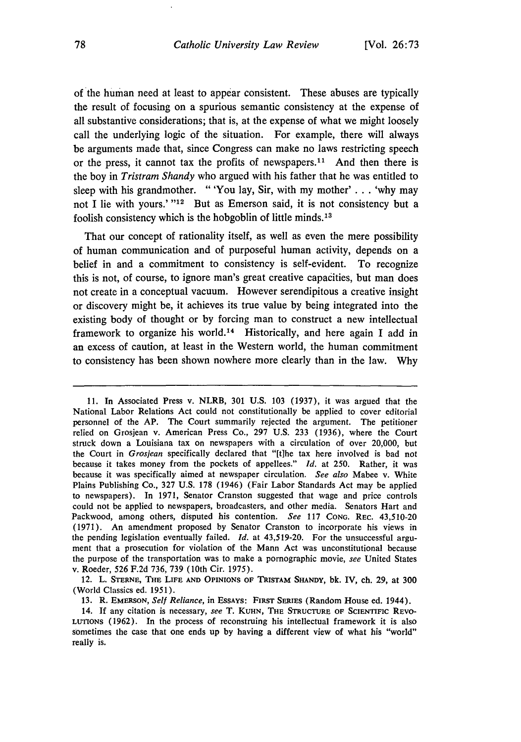of the human need at least to appear consistent. These abuses are typically the result of focusing on a spurious semantic consistency at the expense of all substantive considerations; that is, at the expense of what we might loosely call the underlying logic of the situation. For example, there will always be arguments made that, since Congress can make no laws restricting speech or the press, it cannot tax the profits of newspapers.<sup>11</sup> And then there is the boy in *Tristram Shandy* who argued with his father that he was entitled to sleep with his grandmother. "'You lay, Sir, with my mother' **. .** . 'why may not I lie with yours.' "<sup>12</sup> But as Emerson said, it is not consistency but a foolish consistency which is the hobgoblin of little minds. <sup>13</sup>

That our concept of rationality itself, as well as even the mere possibility of human communication and of purposeful human activity, depends on a belief in and a commitment to consistency is self-evident. To recognize this is not, of course, to ignore man's great creative capacities, but man does not create in a conceptual vacuum. However serendipitous a creative insight or discovery might be, it achieves its true value by being integrated into the existing body of thought or by forcing man to construct a new intellectual framework to organize his world.<sup>14</sup> Historically, and here again I add in an excess of caution, at least in the Western world, the human commitment to consistency has been shown nowhere more clearly than in the law. Why

12. L. **STRNE, THE LIFE AND OPINIONS OF TRISTAM SHANDY, bk.** IV, ch. **29,** at **300** (World Classics ed. **1951).**

**13.** R. **EMERSON,** *Self Reliance,* in **ESSAYS: FIRST SERIES** (Random House ed. 1944).

<sup>11.</sup> In Associated Press v. NLRB, 301 U.S. 103 (1937), it was argued that the National Labor Relations Act could not constitutionally be applied to cover editorial personnel of the AP. The Court summarily rejected the argument. The petitioner relied on Grosjean v. American Press Co., 297 U.S. 233 (1936), where the Court struck down a Louisiana tax on newspapers with a circulation of over 20,000, but the Court in *Grosjean* specifically declared that "[tihe tax here involved is bad not because it takes money from the pockets of appellees." *Id.* at 250. Rather, it was because it was specifically aimed at newspaper circulation. *See also* Mabee v. White Plains Publishing Co., 327 U.S. 178 (1946) (Fair Labor Standards Act may be applied to newspapers). In 1971, Senator Cranston suggested that wage and price controls could not be applied to newspapers, broadcasters, and other media. Senators Hart and Packwood, among others, disputed his contention. *See* 117 CONG. REC. 43,510-20 (1971). An amendment proposed by Senator Cranston to incorporate his views in the pending legislation eventually failed. *Id.* at 43,519-20. For the unsuccessful argument that a prosecution for violation of the Mann Act was unconstitutional because the purpose of the transportation was to make a pornographic movie, *see* United States v. Roeder, *526* F.2d 736, 739 (10th Cir. 1975).

<sup>14.</sup> **If** any citation is necessary, *see* T. **KUHN,** THE **STRUCTURE OF SCIENTIFIC** REVO-**LUTIONS (1962). In** the process of reconstruing his intellectual framework it is also sometimes the case that **one** ends up **by** having a different view of what his "world" really is.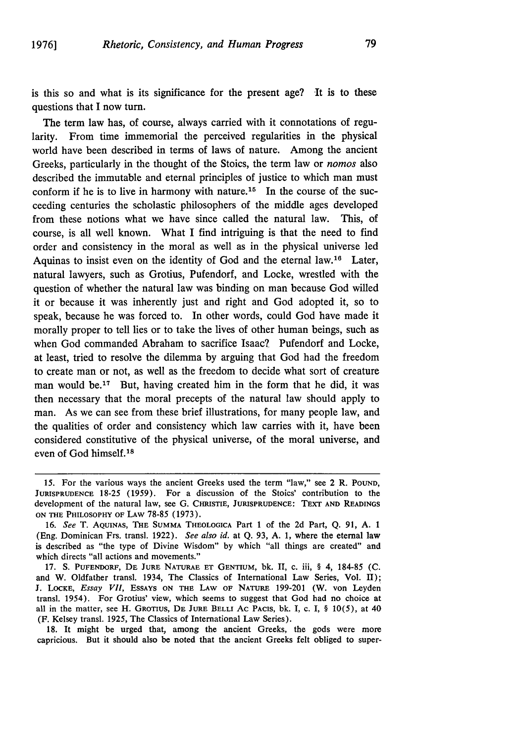is this so and what is its significance for the present age? 'It is to these questions that I now turn.

The term law has, of course, always carried with it connotations of regularity. From time immemorial the perceived regularities in the physical world have been described in terms of laws of nature. Among the ancient Greeks, particularly in the thought of the Stoics, the term law or *nomos* also described the immutable and eternal principles of justice to which man must conform if he is to live in harmony with nature.<sup>15</sup> In the course of the succeeding centuries the scholastic philosophers of the middle ages developed from these notions what we have since called the natural law. This, of course, is all well known. What I find intriguing is that the need to find order and consistency in the moral as well as in the physical universe led Aquinas to insist even on the identity of God and the eternal law.<sup>16</sup> Later, natural lawyers, such as Grotius, Pufendorf, and Locke, wrestled with the question of whether the natural law was binding on man because God willed it or because it was inherently just and right and God adopted it, so to speak, because he was forced to. In other words, could God have made it morally proper to tell lies or to take the lives of other human beings, such as when God commanded Abraham to sacrifice Isaac? Pufendorf and Locke, at least, tried to resolve the dilemma by arguing that God had the freedom to create man or not, as well as the freedom to decide what sort of creature man would be.<sup>17</sup> But, having created him in the form that he did, it was then necessary that the moral precepts of the natural law should apply to man. As we can see from these brief illustrations, for many people law, and the qualities of order and consistency which law carries with it, have been considered constitutive of the physical universe, of the moral universe, and even of God himself.<sup>18</sup>

18. It might be urged that, among the ancient Greeks, the gods were more capricious. But it should also be noted that the ancient Greeks felt obliged to super-

<sup>15.</sup> For the various ways the ancient Greeks used the term "law," see 2 R. **POUND, JURISPRUDENCE** 18-25 (1959). For a discussion of the Stoics' contribution to the development of the natural law, see G. **CHRISTIE,** JURISPRUDENCE: TEXT **AND** READINGS ON THE PHILOSOPHY OF LAW 78-85 (1973).

<sup>16.</sup> See T. AQUINAS, THE SUMMA THEOLOGICA Part 1 of the 2d Part, Q. 91, A. I (Eng. Dominican Frs. transl. 1922). See also *id.* at Q. 93, A. 1, where the eternal law is described as "the type of Divine Wisdom" by which "all things are created" and which directs "all actions and movements."

<sup>17.</sup> **S.** PUFENDORF, **DE JURE** NATURAE **ET** GENTIUM, **bk.** II, c. iii, § 4, 184-85 **(C.** and W. Oldfather transl. 1934, The Classics of International Law Series, Vol. II); J. LOCKE, *Essay VII,* ESSAYS **ON THE** LAw OF NATURE 199-201 (W. von Leyden transl. 1954). For Grotius' view, which seems to suggest that God had no choice at all in the matter, see H. GRoTiuS, DE JURE **BELLI** Ac PACIS, bk. I, c. I, § **10(5),** at 40 (F. Kelsey transl. 1925, The Classics of International Law Series).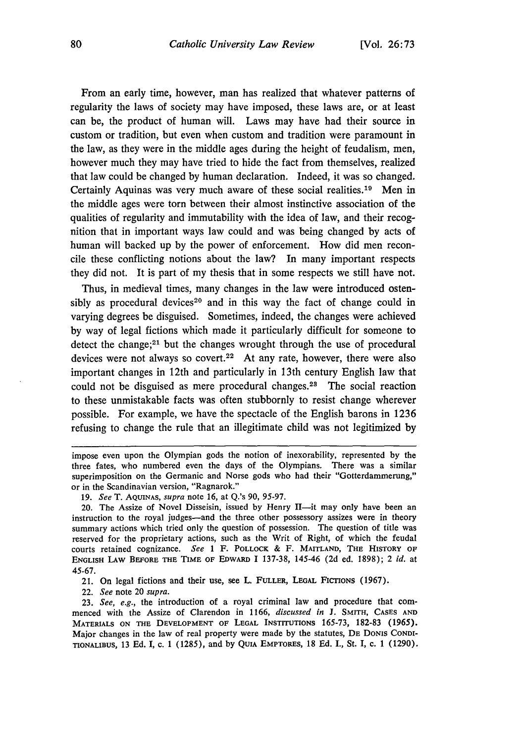From an early time, however, man has realized that whatever patterns of regularity the laws of society may have imposed, these laws are, or at least can be, the product of human will. Laws may have had their source in custom or tradition, but even when custom and tradition were paramount in the law, as they were in the middle ages during the height of feudalism, men, however much they may have tried to hide the fact from themselves, realized that law could be changed by human declaration. Indeed, it was so changed. Certainly Aquinas was very much aware of these social realities.<sup>19</sup> Men in the middle ages were torn between their almost instinctive association of the qualities of regularity and immutability with the idea of law, and their recognition that in important ways law could and was being changed by acts of human will backed up by the power of enforcement. How did men reconcile these conflicting notions about the law? In many important respects they did not. It is part of my thesis that in some respects we still have not.

Thus, in medieval times, many changes in the law were introduced ostensibly as procedural devices<sup>20</sup> and in this way the fact of change could in varying degrees be disguised. Sometimes, indeed, the changes were achieved by way of legal fictions which made it particularly difficult for someone to detect the change;<sup>21</sup> but the changes wrought through the use of procedural devices were not always so covert.<sup>22</sup> At any rate, however, there were also important changes in 12th and particularly in 13th century English law that could not be disguised as mere procedural changes.<sup>23</sup> The social reaction to these unmistakable facts was often stubbornly to resist change wherever possible. For example, we have the spectacle of the English barons in 1236 refusing to change the rule that an illegitimate child was not legitimized by

21. On legal fictions and their use, see L. FULLER, **LEGAL** FICTIONS (1967).

22. *See* note 20 *supra.*

23. *See, e.g.,* the introduction of a royal criminal law and procedure that commenced with the Assize of Clarendon in 1166, *discussed in* J. SMITH, **CASES AND** MATERIALS **ON** THE **DEVELOPMENT** OF **LEGAL** INSTITUTIONS 165-73, 182-83 (1965). Major changes in the law of real property were made by the statutes, DE DONIS **CONDI-**TIONALIBUS, 13 Ed. I, c. 1 (1285), and by **QuIA** EMPTORES, 18 Ed. I., St. I, c. 1 (1290).

impose even upon the Olympian gods the notion of inexorability, represented by the three fates, who numbered even the days of the Olympians. There was a similar superimposition on the Germanic and Norse gods who had their "Gotterdammerung," or in the Scandinavian version, "Ragnarok."

<sup>19.</sup> *See* T. **AQUINAS,** *supra* note 16, at Q.'s 90, 95-97.

<sup>20.</sup> The Assize of Novel Disseisin, issued by Henry  $II$ —it may only have been an instruction to the royal judges-and the three other possessory assizes were in theory summary actions which tried only the question of possession. The question of title was reserved for the proprietary actions, such as the Writ of Right, of which the feudal courts retained cognizance. *See* 1 F. POLLOCK & F. MAITLAND, **THE HISTORY** OF **ENGLISH** LAw BEFORE THE TIME OF EDwARD I 137-38, 145-46 (2d ed. 1898); 2 *id.* at 45-67.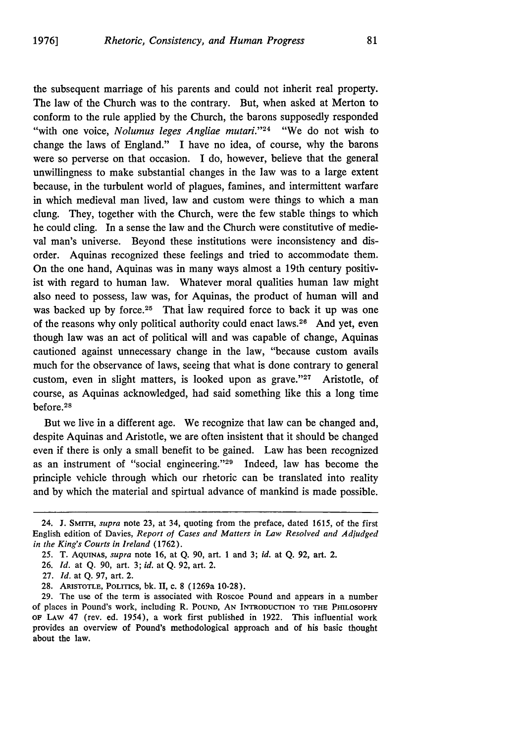the subsequent marriage of his parents and could not inherit real property. The law of the Church was to the contrary. But, when asked at Merton to conform to the rule applied by the Church, the barons supposedly responded "with one voice, *Nolumus leges Angliae mutari.*"<sup>24</sup> "We do not wish to change the laws of England." I have no idea, of course, why the barons were so perverse on that occasion. I do, however, believe that the general unwillingness to make substantial changes in the law was to a large extent because, in the turbulent world of plagues, famines, and intermittent warfare in which medieval man lived, law and custom were things to which a man clung. They, together with the Church, were the few stable things to which he could cling. In a sense the law and the Church were constitutive of medieval man's universe. Beyond these institutions were inconsistency and disorder. Aquinas recognized these feelings and tried to accommodate them. On the one hand, Aquinas was in many ways almost a 19th century positivist with regard to human law. Whatever moral qualities human law might also need to possess, law was, for Aquinas, the product of human will and was backed up by force.<sup>25</sup> That law required force to back it up was one of the reasons why only political authority could enact laws.<sup>26</sup> And yet, even though law was an act of political will and was capable of change, Aquinas cautioned against unnecessary change in the law, "because custom avails much for the observance of laws, seeing that what is done contrary to general custom, even in slight matters, is looked upon as grave."<sup>27</sup> Aristotle, of course, as Aquinas acknowledged, had said something like this a long time before.28

But we live in a different age. We recognize that law can be changed and, despite Aquinas and Aristotle, we are often insistent that it should be changed even if there is only a small benefit to be gained. Law has been recognized as an instrument of "social engineering."'29 Indeed, law has become the principle vehicle through which our rhetoric can be translated into reality and by which the material and spirtual advance of mankind is made possible.

- 27. *Id.* at Q. 97, art. 2.
- 28. ARISTOTLE, POLITICs, bk. II, c. 8 (1269a 10-28).

<sup>24.</sup> **J. SMrrH,** *supra* note 23, at 34, quoting from the preface, dated 1615, of the first English edition of Davies, *Report of Cases and Matters in Law Resolved and Adjudged in the King's Courts in Ireland* (1762).

<sup>25.</sup> **T.** AQUINAS, *supra* note **16,** at Q. **90,** art. **1** and **3;** *id.* at Q. 92, art. 2.

<sup>26.</sup> *Id.* at Q. **90,** art. 3; *id.* at Q. 92, art. 2.

**<sup>29.</sup>** The use of the term is associated with Roscoe Pound and appears in a number of places in Pound's work, including R. **POUND, AN INTRODUCTION** TO THE PmLOSOPlY **OF** LAW 47 (rev. ed. 1954), a work first published in 1922. This influential work provides an overview of Pound's methodological approach and of his basic thought about the law.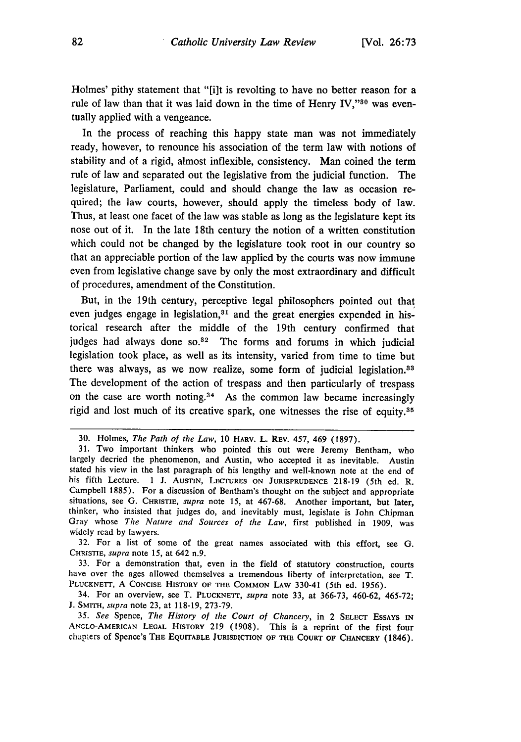Holmes' pithy statement that "[i]t is revolting to have no better reason for a rule of law than that it was laid down in the time of Henry IV," $30$  was eventually applied with a vengeance.

In the process of reaching this happy state man was not immediately ready, however, to renounce his association of the term law with notions of stability and of a rigid, almost inflexible, consistency. Man coined the term rule of law and separated out the legislative from the judicial function. The legislature, Parliament, could and should change the law as occasion required; the law courts, however, should apply the timeless body of law. Thus, at least one facet of the law was stable as long as the legislature kept its nose out of it. In the late 18th century the notion of a written constitution which could not be changed **by** the legislature took root in our country so that an appreciable portion of the law applied **by** the courts was now immune even from legislative change save **by** only the most extraordinary and difficult of procedures, amendment of the Constitution.

But, in the 19th century, perceptive legal philosophers pointed out that even judges engage in legislation, $31$  and the great energies expended in historical research after the middle of the 19th century confirmed that judges had always done so.<sup>32</sup> The forms and forums in which judicial legislation took place, as well as its intensity, varied from time to time but there was always, as we now realize, some form of judicial legislation.33 The development of the action of trespass and then particularly of trespass on the case are worth noting.<sup>34</sup> As the common law became increasingly rigid and lost much of its creative spark, one witnesses the rise of equity.35

32. For a list of some of the great names associated with this effort, see G. **CHR STIE,** *supra* note 15, at 642 n.9.

33. For a demonstration that, even in the field of statutory construction, courts have over the ages allowed themselves a tremendous liberty **of** interpretation, see T. PLUCKNETT, A CONCISE HISTORY OF THE COMMON LAW 330-41 (5th ed. 1956).

34. For an overview, see T. **PLUCKNETr,** *supra* note 33, at 366-73, 460-62, 465-72; J. SMITH, *supra* note 23, at 118-19, 273-79.

35. *See* Spence, *The History of the Court of Chancery,* in 2 SELECT ESSAYS **IN** ANCLO-AMERICAN **LEGAL** HISTORY 219 (1908). This is a reprint of the first four chapters of Spence's THE EQUITABLE **JURISDICTION OF** THE **COURT OF** CHANCERY (1846).

<sup>30.</sup> Holmes, *The Path of the Law,* 10 **HARV.** L. REV. 457, 469 (1897).

<sup>31.</sup> Two important thinkers who pointed this out were Jeremy Bentham, who largely decried the phenomenon, and Austin, who accepted it as inevitable. Austin stated his view in the last paragraph of his lengthy and well-known note at the end of his fifth Lecture. 1 **J. AUSTIN, LECTURES ON JURISPRUDENCE** 218-19 (5th ed. R. Campbell 1885). For a discussion of Bentham's thought on the subject and appropriate situations, see G. **CHRISTIE,** *supra* note 15, at 467-68. Another important, but later, thinker, who insisted that judges do, and inevitably must, legislate is John Chipman Gray whose The *Nature and Sources of the Law,* first published in 1909, was widely read by lawyers.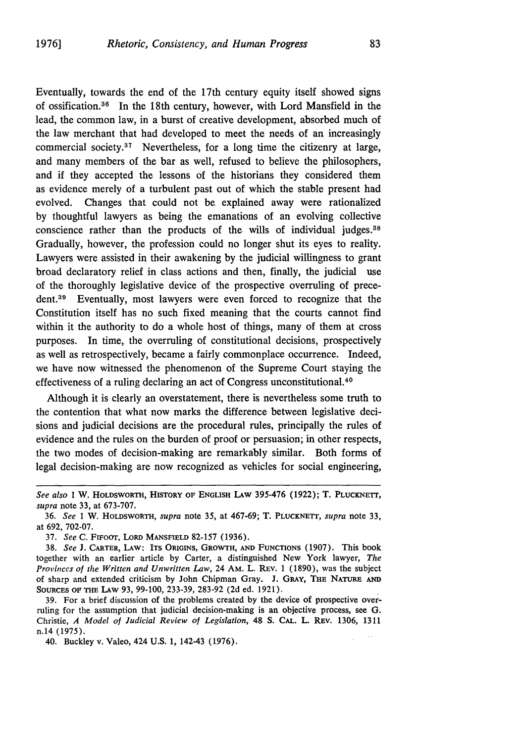Eventually, towards the end of the 17th century equity itself showed signs of ossification. 36 In the 18th century, however, with Lord Mansfield in the lead, the common law, in a burst of creative development, absorbed much of the law merchant that had developed to meet the needs of an increasingly commercial society. $37$  Nevertheless, for a long time the citizenry at large, and many members of the bar as well, refused to believe the philosophers, and if they accepted the lessons of the historians they considered them as evidence merely of a turbulent past out of which the stable present had evolved. Changes that could not be explained away were rationalized by thoughtful lawyers as being the emanations of an evolving collective conscience rather than the products of the wills of individual judges.38 Gradually, however, the profession could no longer shut its eyes to reality. Lawyers were assisted in their awakening by the judicial willingness to grant broad declaratory relief in class actions and then, finally, the judicial use of the thoroughly legislative device of the prospective overruling of prece**dent.3 <sup>9</sup>**Eventually, most lawyers were even forced to recognize that the Constitution itself has no such fixed meaning that the courts cannot find within it the authority to do a whole host of things, many of them at cross purposes. In time, the overruling of constitutional decisions, prospectively as well as retrospectively, became a fairly commonplace occurrence. Indeed, we have now witnessed the phenomenon of the Supreme Court staying the effectiveness of a ruling declaring an act of Congress unconstitutional. <sup>40</sup>

Although it is clearly an overstatement, there is nevertheless some truth to the contention that what now marks the difference between legislative decisions and judicial decisions are the procedural rules, principally the rules of evidence and the rules on the burden of proof or persuasion; in other respects, the two modes of decision-making are remarkably similar. Both forms of legal decision-making are now recognized as vehicles for social engineering,

39. For a brief discussion of the problems created by the device of prospective overruling for the assumption that judicial decision-making is an objective process, see G. Christie, *A Model of Judicial Review of Legislation,* 48 S. **CAL.** L. REv. 1306, 1311 n.14 (1975).

40. Buckley v. Valeo, 424 U.S. 1, 142-43 (1976).

*See also* 1 W. HOLDSWORTH, HISTORY OF ENGLISH LAW **395-476 (1922); T.** PLUcKNETr, *supra* note 33, at 673-707.

<sup>36.</sup> *See* 1 W. HOLDSWORTH, *supra* note 35, at 467-69; T. PLUCKNETT, *supra* note 33, at 692, 702-07.

<sup>37.</sup> *See* **C.** FIFoor, LORD **MANSFIELD** 82-157 (1936).

<sup>38.</sup> *See* **J. CARTER,** LAW: **ITS** ORIGINS, **GROWTH, AND FUNCTIONS** (1907). This book together with an earlier article by Carter, a distinguished New York lawyer, *The Provinces of the Written and Unwritten Law,* 24 AM. L. REv. 1 (1890), was the subject of sharp and extended criticism by John Chipman Gray. J. GRAY, **THE** NATURE **AND** SOURCES OF **THE LAW** 93, 99-100, 233-39, 283-92 (2d ed. 1921).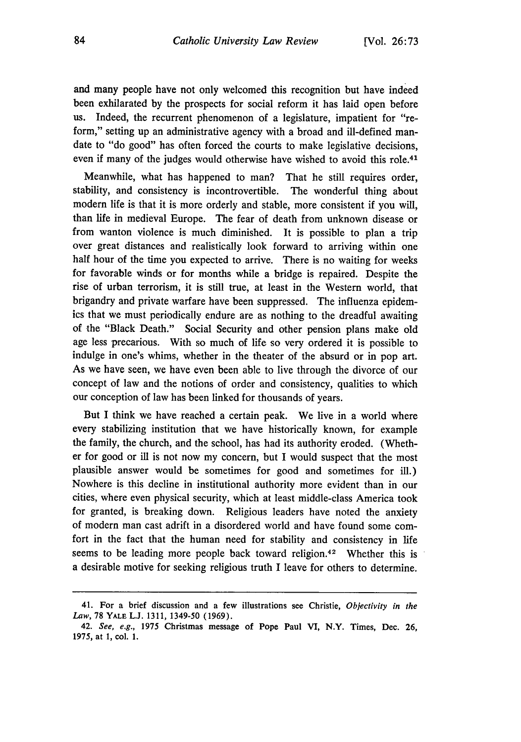and many people have not only welcomed this recognition but have indeed been exhilarated by the prospects for social reform it has laid open before us. Indeed, the recurrent phenomenon of a legislature, impatient for "reform," setting up an administrative agency with a broad and ill-defined mandate to "do good" has often forced the courts to make legislative decisions, even if many of the judges would otherwise have wished to avoid this role.<sup>41</sup>

Meanwhile, what has happened to man? That he still requires order, stability, and consistency is incontrovertible. The wonderful thing about modern life is that it is more orderly and stable, more consistent if you will, than life in medieval Europe. The fear of death from unknown disease or from wanton violence is much diminished. It is possible to plan a trip over great distances and realistically look forward to arriving within one half hour of the time you expected to arrive. There is no waiting for weeks for favorable winds or for months while a bridge is repaired. Despite the rise of urban terrorism, it is still true, at least in the Western world, that brigandry and private warfare have been suppressed. The influenza epidemics that we must periodically endure are as nothing to the dreadful awaiting of the "Black Death." Social Security and other pension plans make old age less precarious. With so much of life so very ordered it is possible to indulge in one's whims, whether in the theater of the absurd or in pop art. As we have seen, we have even been able to live through the divorce of our concept of law and the notions of order and consistency, qualities to which our conception of law has been linked for thousands of years.

But I think we have reached a certain peak. We live in a world where every stabilizing institution that we have historically known, for example the family, the church, and the school, has had its authority eroded. (Whether for good or ill is not now my concern, but I would suspect that the most plausible answer would be sometimes for good and sometimes for ill.) Nowhere is this decline in institutional authority more evident than in our cities, where even physical security, which at least middle-class America took for granted, is breaking down. Religious leaders have noted the anxiety of modern man cast adrift in a disordered world and have found some comfort in the fact that the human need for stability and consistency in life seems to be leading more people back toward religion.<sup>42</sup> Whether this is a desirable motive for seeking religious truth I leave for others to determine.

<sup>41.</sup> For a brief discussion and a few illustrations see Christie, *Objectivity in the Law,* **78** YALE **L.J. 1311,** 1349-50 **(1969).**

<sup>42.</sup> *See, e.g.,* **1975** Christmas message **of** Pope Paul **V,** N.Y. Times, Dec. **26,** 1975, at **1,** col. **1.**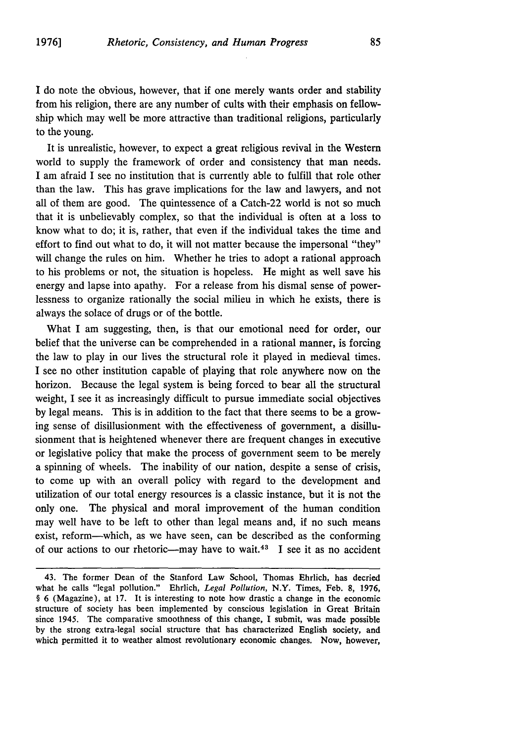I do note the obvious, however, that **if** one merely wants order and stability from his religion, there are any number of cults with their emphasis on fellowship which may well be more attractive than traditional religions, particularly to the young.

It is unrealistic, however, to expect a great religious revival in the Western world to supply the framework of order and consistency that man needs. I am afraid I see no institution that is currently able to fulfill that role other than the law. This has grave implications for the law and lawyers, and not all of them are good. The quintessence of a Catch-22 world is not so much that it is unbelievably complex, so that the individual is often at a loss to know what to do; it is, rather, that even if the individual takes the time and effort to find out what to do, it will not matter because the impersonal "they" will change the rules on him. Whether he tries to adopt a rational approach to his problems or not, the situation is hopeless. He might as well save his energy and lapse into apathy. For a release from his dismal sense of powerlessness to organize rationally the social milieu in which he exists, there is always the solace of drugs or of the bottle.

What I am suggesting, then, is that our emotional need for order, our belief that the universe can be comprehended in a rational manner, is forcing the law to play in our lives the structural role it played in medieval times. I see no other institution capable of playing that role anywhere now on the horizon. Because the legal system is being forced to bear all the structural weight, I see it as increasingly difficult to pursue immediate social objectives by legal means. This is in addition to the fact that there seems to be a growing sense of disillusionment with the effectiveness of government, a disillusionment that is heightened whenever there are frequent changes in executive or legislative policy that make the process of government seem to be merely a spinning of wheels. The inability of our nation, despite a sense of crisis, to come up with an overall policy with regard to the development and utilization of our total energy resources is a classic instance, but it is not the only one. The physical and moral improvement of the human condition may well have to be left to other than legal means and, if no such means exist, reform-which, as we have seen, can be described as the conforming of our actions to our rhetoric--may have to wait.<sup>43</sup> I see it as no accident

<sup>43.</sup> The former Dean of the Stanford Law School, Thomas Ehrlich, has decried what he calls "legal pollution." Ehrlich, *Legal Pollution,* N.Y. Times, Feb. 8, 1976, § 6 (Magazine), at 17. It is interesting to note how drastic a change in the economic structure of society has been implemented by conscious legislation in Great Britain since 1945. The comparative smoothness of this change, I submit, was made possible by the strong extra-legal social structure that has characterized English society, and which permitted it to weather almost revolutionary economic changes. Now, however,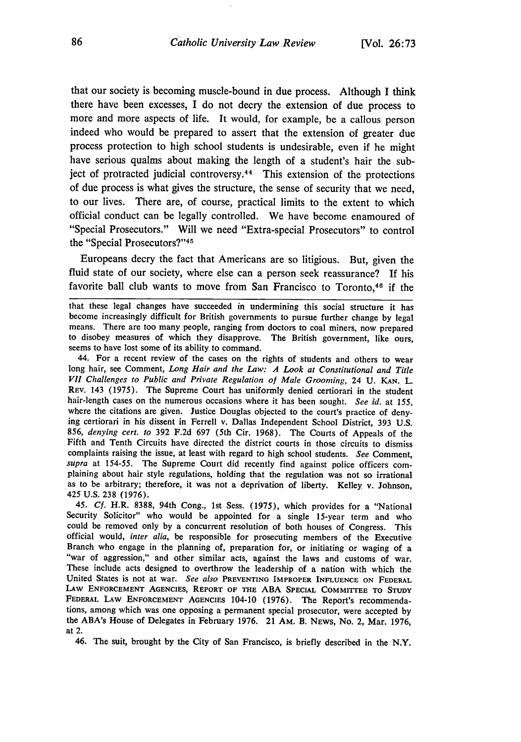that our society is becoming muscle-bound in due process. Although I think there have been excesses, I do not decry the extension of due process to more and more aspects of life. It would, for example, be a callous person indeed who would be prepared to assert that the extension of greater due process protection to high school students is undesirable, even if he might have serious qualms about making the length of a student's hair the subject of protracted judicial controversy.<sup>44</sup> This extension of the protections of due process is what gives the structure, the sense of security that we need, to our lives. There are, of course, practical limits to the extent to which official conduct can be legally controlled. We have become enamoured of "Special Prosecutors." Will we need "Extra-special Prosecutors" to control the "Special Prosecutors?"<sup>45</sup>

Europeans decry the fact that Americans are so litigious. But, given the fluid state of our society, where else can a person seek reassurance? **If** his favorite ball club wants to move from San Francisco to Toronto,<sup>46</sup> if the

44. For a recent review of the cases on the rights of students and others to wear long hair, see Comment, *Long Hair and the Law: A Look at Constitutional and Title VII Challenges to Public and Private Regulation of Male Grooming,* 24 U. KAN. L. REV. 143 (1975). The Supreme Court has uniformly denied certiorari in the student hair-length cases on the numerous occasions where it has been sought. *See id.* at 155, where the citations are given. Justice Douglas objected to the court's practice of denying certiorari in his dissent in Ferrell v. Dallas Independent School District, 393 U.S. 856, *denying cert. to* 392 F.2d 697 (5th Cir. 1968). The Courts of Appeals of the Fifth and Tenth Circuits have directed the district courts in those circuits to dismiss complaints raising the issue, at least with regard to high school students. *See* Comment, supra at 154-55. The Supreme Court did recently find against police officers complaining about hair style regulations, holding that the regulation was not so irrational as to be arbitrary; therefore, it was not a deprivat 425 U.S. 238 (1976).

*45. Cf.* H.R. 8388, 94th Cong., 1st Sess. (1975), which provides for a "National Security Solicitor" who would be appointed for a single 15-year term and who could be removed only by a concurrent resolution of both houses of Congress. This official would, *inter alia,* be responsible for prosecuting members of the Executive Branch who engage in the planning of, preparation for, or initiating or waging of a "war of aggression," and other similar acts, against the laws and customs of war. These include acts designed to overthrow the leadership of a nation with which the United States is not at war. *See also* **PREVENTING** IMPROPER **INFLUENCE ON** FEDERAL **LAw ENFORCEMENT AGENCIES, REPORT OF THE ABA SPECIAL COMMITTEE TO STUDY** FEDERAL LAW **ENFORCEMENT AGENCIES** 104-10 (1976). The Report's recommendations, among which was one opposing a permanent special prosecutor, were accepted **by** the ABA's House of Delegates in February 1976. 21 AM. B. NEWS, No. 2, Mar. 1976, at 2.

46. The suit, brought **by** the City of San Francisco, is briefly described in the N.Y.

that these legal changes have succeeded in undermining this social structure it has become increasingly difficult for British governments to pursue further change by legal means. There are too many people, ranging from doctors to coal miners, now prepared to disobey measures of which they disapprove. The British government, like ours, seems to have lost some of its ability to command.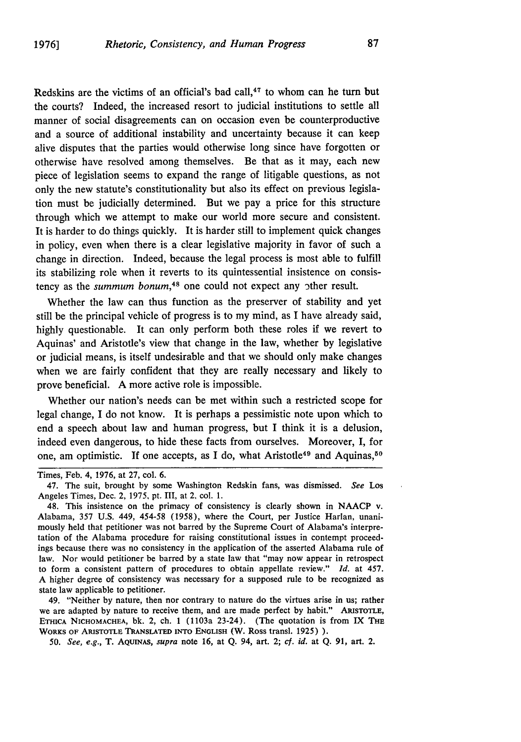Redskins are the victims of an official's bad call, $47$  to whom can he turn but the courts? Indeed, the increased resort to judicial institutions to settle all manner of social disagreements can on occasion even be counterproductive and a source of additional instability and uncertainty because it can keep alive disputes that the parties would otherwise long since have forgotten or otherwise have resolved among themselves. Be that as it may, each new piece of legislation seems to expand the range of litigable questions, as not only the new statute's constitutionality but also its effect on previous legislation must be judicially determined. But we pay a price for this structure through which we attempt to make our world more secure and consistent. It is harder to do things quickly. It is harder still to implement quick changes in policy, even when there is a clear legislative majority in favor of such a change in direction. Indeed, because the legal process is most able to fulfill its stabilizing role when it reverts to its quintessential insistence on consistency as the *summum bonum,48* one could not expect any 3ther result.

Whether the law can thus function as the preserver of stability and yet still be the principal vehicle of progress is to my mind, as I have already said, highly questionable. It can only perform both these roles if we revert to Aquinas' and Aristotle's view that change in the law, whether by legislative or judicial means, is itself undesirable and that we should only make changes when we are fairly confident that they are really necessary and likely to prove beneficial. A more active role is impossible.

Whether our nation's needs can be met within such a restricted scope for legal change, I do not know. It is perhaps a pessimistic note upon which to end a speech about law and human progress, but I think it is a delusion, indeed even dangerous, to hide these facts from ourselves. Moreover, I, for one, am optimistic. If one accepts, as I do, what Aristotle<sup>49</sup> and Aquinas,<sup>50</sup>

49. "Neither by nature, then nor contrary to nature do the virtues arise in us; rather we are adapted by nature to receive them, and are made perfect by habit." **ARISTOTLE, ETHCA** NICHOMACHEA, bk. 2, ch. 1 (1103a 23-24). (The quotation is from IX **THE** WORKS **OF ARISTOTLE** TANSLATED INTO **ENGLISH** (W. Ross transl. 1925) **).**

*50. See, e.g.,* T. **AQUINAS,** *supra* note 16, at **Q.** 94, art. 2; *cf. id.* at **Q.** 91, art. 2.

Times, Feb. 4, 1976, at 27, col. 6.

<sup>47.</sup> The suit, brought by some Washington Redskin fans, was dismissed. *See Los* Angeles Times, Dec. 2, 1975, pt. III, at *2,* col. 1.

<sup>48.</sup> This insistence on the primacy of consistency is clearly shown in NAACP v. Alabama, 357 U.S. 449, 454-58 (1958), where the Court, per Justice Harlan, unanimously held that petitioner was not barred by the Supreme Court of Alabama's interpretation of the Alabama procedure for raising constitutional issues in contempt proceedings because there was no consistency in the application of the asserted Alabama rule of law. Nor would petitioner be barred by a state law that "may now appear in retrospect to form a consistent pattern of procedures to obtain appellate review." *Id.* at 457. A higher degree of consistency was necessary for a supposed rule to be recognized as state law applicable to petitioner.